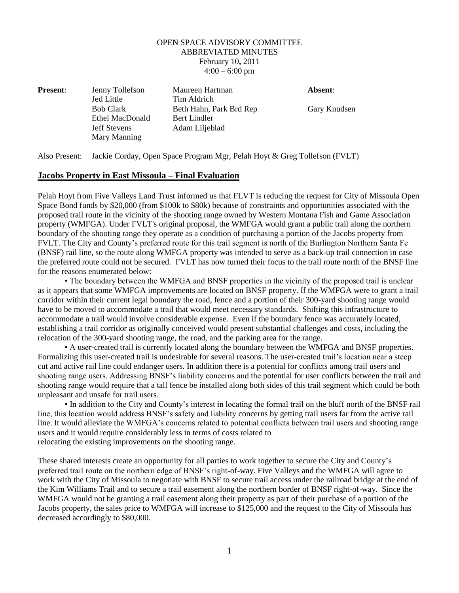## OPEN SPACE ADVISORY COMMITTEE ABBREVIATED MINUTES February 10**,** 2011  $4:00 - 6:00$  pm

| <b>Present:</b> | Jenny Tollefson<br><b>Jed Little</b> | Maureen Hartman<br>Tim Aldrich | Absent:      |
|-----------------|--------------------------------------|--------------------------------|--------------|
|                 | <b>Bob Clark</b>                     | Beth Hahn, Park Brd Rep        | Gary Knudsen |
|                 | Ethel MacDonald                      | Bert Lindler                   |              |
|                 | <b>Jeff Stevens</b>                  | Adam Liljeblad                 |              |
|                 | Mary Manning                         |                                |              |

Also Present: Jackie Corday, Open Space Program Mgr, Pelah Hoyt & Greg Tollefson (FVLT)

## **Jacobs Property in East Missoula – Final Evaluation**

Pelah Hoyt from Five Valleys Land Trust informed us that FLVT is reducing the request for City of Missoula Open Space Bond funds by \$20,000 (from \$100k to \$80k) because of constraints and opportunities associated with the proposed trail route in the vicinity of the shooting range owned by Western Montana Fish and Game Association property (WMFGA). Under FVLT's original proposal, the WMFGA would grant a public trail along the northern boundary of the shooting range they operate as a condition of purchasing a portion of the Jacobs property from FVLT. The City and County's preferred route for this trail segment is north of the Burlington Northern Santa Fe (BNSF) rail line, so the route along WMFGA property was intended to serve as a back-up trail connection in case the preferred route could not be secured. FVLT has now turned their focus to the trail route north of the BNSF line for the reasons enumerated below:

• The boundary between the WMFGA and BNSF properties in the vicinity of the proposed trail is unclear as it appears that some WMFGA improvements are located on BNSF property. If the WMFGA were to grant a trail corridor within their current legal boundary the road, fence and a portion of their 300-yard shooting range would have to be moved to accommodate a trail that would meet necessary standards. Shifting this infrastructure to accommodate a trail would involve considerable expense. Even if the boundary fence was accurately located, establishing a trail corridor as originally conceived would present substantial challenges and costs, including the relocation of the 300-yard shooting range, the road, and the parking area for the range.

• A user-created trail is currently located along the boundary between the WMFGA and BNSF properties. Formalizing this user-created trail is undesirable for several reasons. The user-created trail's location near a steep cut and active rail line could endanger users. In addition there is a potential for conflicts among trail users and shooting range users. Addressing BNSF's liability concerns and the potential for user conflicts between the trail and shooting range would require that a tall fence be installed along both sides of this trail segment which could be both unpleasant and unsafe for trail users.

• In addition to the City and County's interest in locating the formal trail on the bluff north of the BNSF rail line, this location would address BNSF's safety and liability concerns by getting trail users far from the active rail line. It would alleviate the WMFGA's concerns related to potential conflicts between trail users and shooting range users and it would require considerably less in terms of costs related to relocating the existing improvements on the shooting range.

These shared interests create an opportunity for all parties to work together to secure the City and County's preferred trail route on the northern edge of BNSF's right-of-way. Five Valleys and the WMFGA will agree to work with the City of Missoula to negotiate with BNSF to secure trail access under the railroad bridge at the end of the Kim Williams Trail and to secure a trail easement along the northern border of BNSF right-of-way. Since the WMFGA would not be granting a trail easement along their property as part of their purchase of a portion of the Jacobs property, the sales price to WMFGA will increase to \$125,000 and the request to the City of Missoula has decreased accordingly to \$80,000.